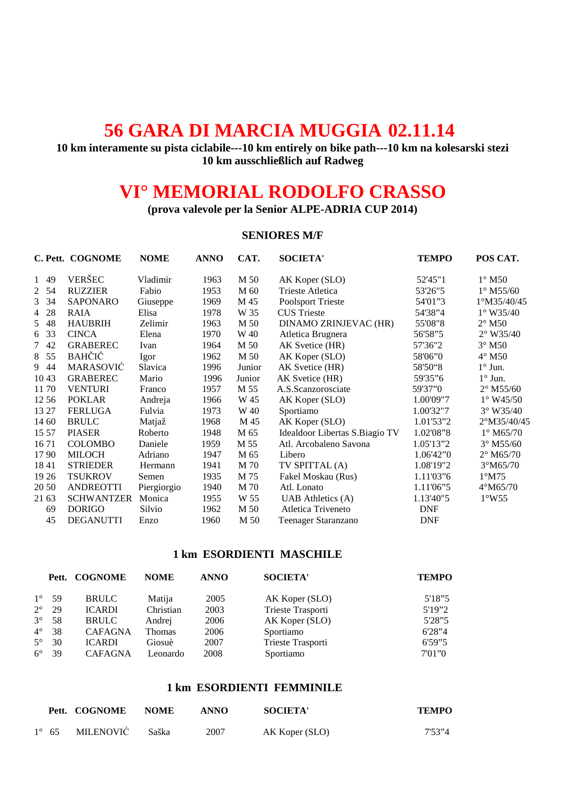## **56 GARA DI MARCIA MUGGIA 02.11.14**

**10 km interamente su pista ciclabile---10 km entirely on bike path---10 km na kolesarski stezi 10 km ausschließlich auf Radweg** 

# **VI° MEMORIAL RODOLFO CRASSO**

**(prova valevole per la Senior ALPE-ADRIA CUP 2014)** 

#### **SENIORES M/F**

|        |      | C. Pett. COGNOME  | <b>NOME</b> | <b>ANNO</b> | CAT.   | <b>SOCIETA'</b>                | <b>TEMPO</b> | POS CAT.           |
|--------|------|-------------------|-------------|-------------|--------|--------------------------------|--------------|--------------------|
| 1 49   |      | <b>VERŠEC</b>     | Vladimir    | 1963        | M 50   | AK Koper (SLO)                 | 52'45"1      | $1^\circ$ M50      |
| 2      | - 54 | <b>RUZZIER</b>    | Fabio       | 1953        | M 60   | <b>Trieste Atletica</b>        | 53'26"5      | $1^{\circ}$ M55/60 |
| 3 3 4  |      | <b>SAPONARO</b>   | Giuseppe    | 1969        | M 45   | <b>Poolsport Trieste</b>       | 54'01"3      | 1°M35/40/45        |
| 4 28   |      | RAIA              | Elisa       | 1978        | W 35   | <b>CUS</b> Trieste             | 54'38"4      | $1^{\circ}$ W35/40 |
| 5 48   |      | <b>HAUBRIH</b>    | Zelimir     | 1963        | M 50   | DINAMO ZRINJEVAC (HR)          | 55'08"8      | $2^{\circ}$ M50    |
| 6      | 33   | <b>CINCA</b>      | Elena       | 1970        | W 40   | Atletica Brugnera              | 56'58"5      | $2^{\circ}$ W35/40 |
| $\tau$ | 42   | <b>GRABEREC</b>   | Ivan        | 1964        | M 50   | AK Svetice (HR)                | 57'36"2      | $3^\circ$ M50      |
| 8      | 55   | <b>BAHČIČ</b>     | Igor        | 1962        | M 50   | AK Koper (SLO)                 | 58'06"0      | $4^\circ$ M50      |
| 9 44   |      | MARASOVIĆ         | Slavica     | 1996        | Junior | AK Svetice (HR)                | 58'50"8      | $1^\circ$ Jun.     |
| 1043   |      | <b>GRABEREC</b>   | Mario       | 1996        | Junior | AK Svetice (HR)                | 59'35"6      | $1^{\circ}$ Jun.   |
| 1170   |      | <b>VENTURI</b>    | Franco      | 1957        | M 55   | A.S.Scanzorosciate             | 59'37"0      | $2^{\circ}$ M55/60 |
| 1256   |      | <b>POKLAR</b>     | Andreja     | 1966        | W 45   | AK Koper (SLO)                 | 1.00'09"7    | $1^{\circ}$ W45/50 |
| 13 27  |      | <b>FERLUGA</b>    | Fulvia      | 1973        | W 40   | Sportiamo                      | 1.00'32"7    | 3° W35/40          |
| 14 60  |      | <b>BRULC</b>      | Matjaž      | 1968        | M 45   | AK Koper (SLO)                 | 1.01'53"2    | 2°M35/40/45        |
| 15 57  |      | <b>PIASER</b>     | Roberto     | 1948        | M 65   | Idealdoor Libertas S.Biagio TV | 1.02'08"8    | $1^{\circ}$ M65/70 |
| 1671   |      | <b>COLOMBO</b>    | Daniele     | 1959        | M 55   | Atl. Arcobaleno Savona         | 1.05'13"2    | $3^{\circ}$ M55/60 |
| 1790   |      | <b>MILOCH</b>     | Adriano     | 1947        | M 65   | Libero                         | 1.0642"0     | $2^{\circ}$ M65/70 |
| 1841   |      | <b>STRIEDER</b>   | Hermann     | 1941        | M 70   | TV SPITTAL (A)                 | 1.08'19"2    | $3^{\circ}M65/70$  |
| 19 26  |      | <b>TSUKROV</b>    | Semen       | 1935        | M 75   | Fakel Moskau (Rus)             | 1.11'03"6    | $1^{\circ}$ M75    |
| 20 50  |      | ANDREOTTI         | Piergiorgio | 1940        | M 70   | Atl. Lonato                    | 1.11'06"5    | 4°M65/70           |
| 21 63  |      | <b>SCHWANTZER</b> | Monica      | 1955        | W 55   | UAB Athletics (A)              | 1.13'40"5    | $1^{\circ}W55$     |
|        | 69   | <b>DORIGO</b>     | Silvio      | 1962        | M 50   | Atletica Triveneto             | <b>DNF</b>   |                    |
|        | 45   | <b>DEGANUTTI</b>  | Enzo        | 1960        | M 50   | Teenager Staranzano            | <b>DNF</b>   |                    |

#### **1 km ESORDIENTI MASCHILE**

|             |      | Pett. COGNOME  | <b>NOME</b> | <b>ANNO</b> | <b>SOCIETA'</b>   | <b>TEMPO</b> |
|-------------|------|----------------|-------------|-------------|-------------------|--------------|
| $1^{\circ}$ | - 59 | <b>BRULC</b>   | Matija      | 2005        | AK Koper (SLO)    | 5'18"5       |
| $2^{\circ}$ | -29  | <b>ICARDI</b>  | Christian   | 2003        | Trieste Trasporti | 5'19"2       |
| $3^\circ$   | 58   | <b>BRULC</b>   | Andrej      | 2006        | AK Koper (SLO)    | 5'28"5       |
| $4^{\circ}$ | 38   | <b>CAFAGNA</b> | Thomas      | 2006        | Sportiamo         | 6'28"4       |
| $5^{\circ}$ | 30   | <b>ICARDI</b>  | Giosuè      | 2007        | Trieste Trasporti | 6'59''5      |
| $6^{\circ}$ | 39   | <b>CAFAGNA</b> | Leonardo    | 2008        | Sportiamo         | 7'01"0       |

#### **1 km ESORDIENTI FEMMINILE**

|              | Pett. COGNOME | <b>NOME</b> | ANNO | <b>SOCIETA'</b> | <b>TEMPO</b> |
|--------------|---------------|-------------|------|-----------------|--------------|
| $1^\circ$ 65 | MILENOVIĆ     | Saška       | 2007 | AK Koper (SLO)  | 7'53"4       |